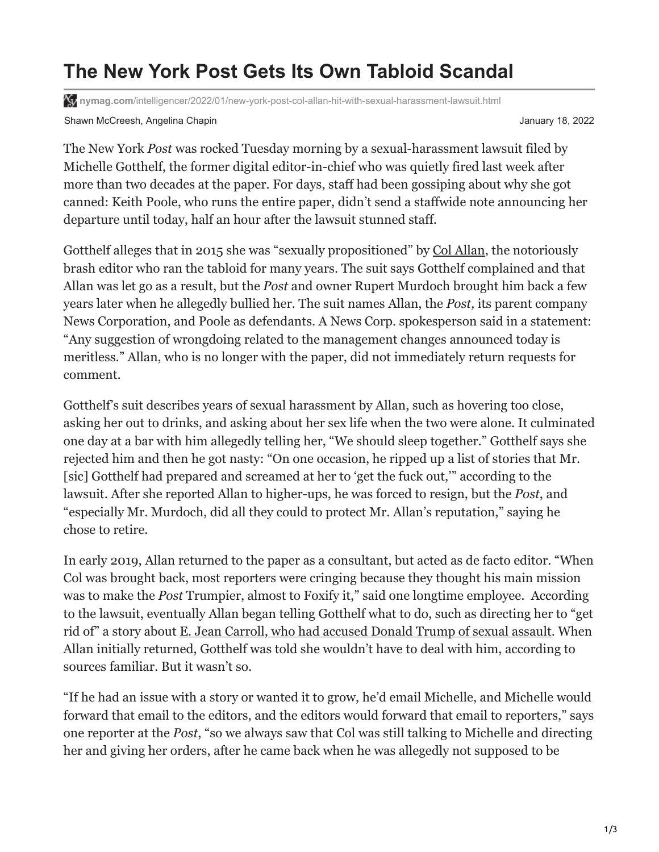## **The New York Post Gets Its Own Tabloid Scandal**

**X<sub>I</sub>** nymag.com[/intelligencer/2022/01/new-york-post-col-allan-hit-with-sexual-harassment-lawsuit.html](https://nymag.com/intelligencer/2022/01/new-york-post-col-allan-hit-with-sexual-harassment-lawsuit.html)

Shawn McCreesh, Angelina Chapin January 18, 2022

The New York *Post* was rocked Tuesday morning by a sexual-harassment lawsuit filed by Michelle Gotthelf, the former digital editor-in-chief who was quietly fired last week after more than two decades at the paper. For days, staff had been gossiping about why she got canned: Keith Poole, who runs the entire paper, didn't send a staffwide note announcing her departure until today, half an hour after the lawsuit stunned staff.

Gotthelf alleges that in 2015 she was "sexually propositioned" by [Col Allan,](https://nymag.com/news/media/37257/) the notoriously brash editor who ran the tabloid for many years. The suit says Gotthelf complained and that Allan was let go as a result, but the *Post* and owner Rupert Murdoch brought him back a few years later when he allegedly bullied her. The suit names Allan, the *Post,* its parent company News Corporation, and Poole as defendants. A News Corp. spokesperson said in a statement: "Any suggestion of wrongdoing related to the management changes announced today is meritless." Allan, who is no longer with the paper, did not immediately return requests for comment.

Gotthelf's suit describes years of sexual harassment by Allan, such as hovering too close, asking her out to drinks, and asking about her sex life when the two were alone. It culminated one day at a bar with him allegedly telling her, "We should sleep together." Gotthelf says she rejected him and then he got nasty: "On one occasion, he ripped up a list of stories that Mr. [sic] Gotthelf had prepared and screamed at her to 'get the fuck out,'" according to the lawsuit. After she reported Allan to higher-ups, he was forced to resign, but the *Post*, and "especially Mr. Murdoch, did all they could to protect Mr. Allan's reputation," saying he chose to retire.

In early 2019, Allan returned to the paper as a consultant, but acted as de facto editor. "When Col was brought back, most reporters were cringing because they thought his main mission was to make the *Post* Trumpier, almost to Foxify it," said one longtime employee. According to the lawsuit, eventually Allan began telling Gotthelf what to do, such as directing her to "get rid of" a story about [E. Jean Carroll, who had accused Donald Trump of sexual assault.](https://www.thecut.com/2019/06/donald-trump-assault-e-jean-carroll-other-hideous-men.html#_ga=2.267580038.905500460.1641216290-530769745.1638572059) When Allan initially returned, Gotthelf was told she wouldn't have to deal with him, according to sources familiar. But it wasn't so.

"If he had an issue with a story or wanted it to grow, he'd email Michelle, and Michelle would forward that email to the editors, and the editors would forward that email to reporters," says one reporter at the *Post*, "so we always saw that Col was still talking to Michelle and directing her and giving her orders, after he came back when he was allegedly not supposed to be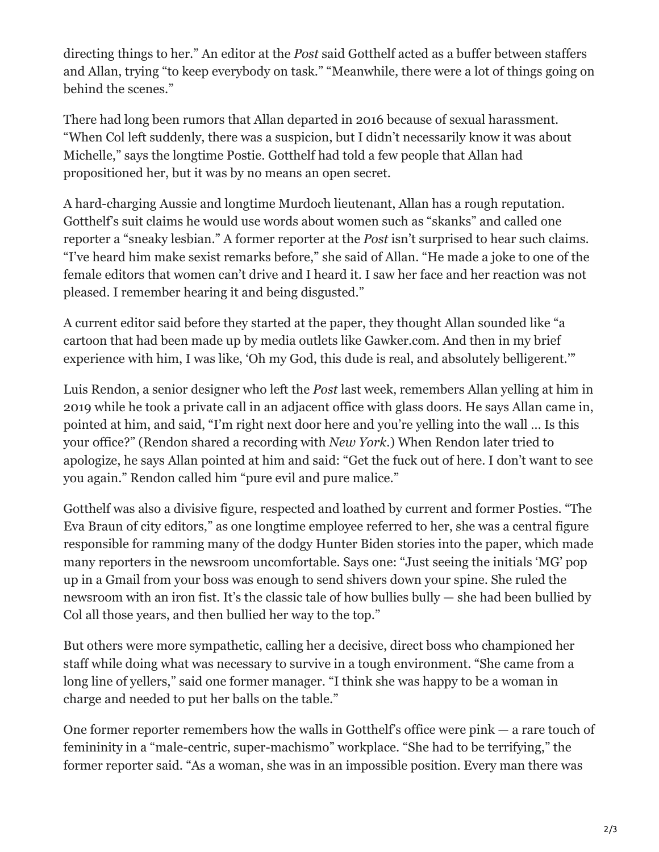directing things to her." An editor at the *Post* said Gotthelf acted as a buffer between staffers and Allan, trying "to keep everybody on task." "Meanwhile, there were a lot of things going on behind the scenes."

There had long been rumors that Allan departed in 2016 because of sexual harassment. "When Col left suddenly, there was a suspicion, but I didn't necessarily know it was about Michelle," says the longtime Postie. Gotthelf had told a few people that Allan had propositioned her, but it was by no means an open secret.

A hard-charging Aussie and longtime Murdoch lieutenant, Allan has a rough reputation. Gotthelf's suit claims he would use words about women such as "skanks" and called one reporter a "sneaky lesbian." A former reporter at the *Post* isn't surprised to hear such claims. "I've heard him make sexist remarks before," she said of Allan. "He made a joke to one of the female editors that women can't drive and I heard it. I saw her face and her reaction was not pleased. I remember hearing it and being disgusted."

A current editor said before they started at the paper, they thought Allan sounded like "a cartoon that had been made up by media outlets like Gawker.com. And then in my brief experience with him, I was like, 'Oh my God, this dude is real, and absolutely belligerent.'"

Luis Rendon, a senior designer who left the *Post* last week, remembers Allan yelling at him in 2019 while he took a private call in an adjacent office with glass doors. He says Allan came in, pointed at him, and said, "I'm right next door here and you're yelling into the wall … Is this your office?" (Rendon shared a recording with *New York*.) When Rendon later tried to apologize, he says Allan pointed at him and said: "Get the fuck out of here. I don't want to see you again." Rendon called him "pure evil and pure malice."

Gotthelf was also a divisive figure, respected and loathed by current and former Posties. "The Eva Braun of city editors," as one longtime employee referred to her, she was a central figure responsible for ramming many of the dodgy Hunter Biden stories into the paper, which made many reporters in the newsroom uncomfortable. Says one: "Just seeing the initials 'MG' pop up in a Gmail from your boss was enough to send shivers down your spine. She ruled the newsroom with an iron fist. It's the classic tale of how bullies bully — she had been bullied by Col all those years, and then bullied her way to the top."

But others were more sympathetic, calling her a decisive, direct boss who championed her staff while doing what was necessary to survive in a tough environment. "She came from a long line of yellers," said one former manager. "I think she was happy to be a woman in charge and needed to put her balls on the table."

One former reporter remembers how the walls in Gotthelf's office were pink — a rare touch of femininity in a "male-centric, super-machismo" workplace. "She had to be terrifying," the former reporter said. "As a woman, she was in an impossible position. Every man there was